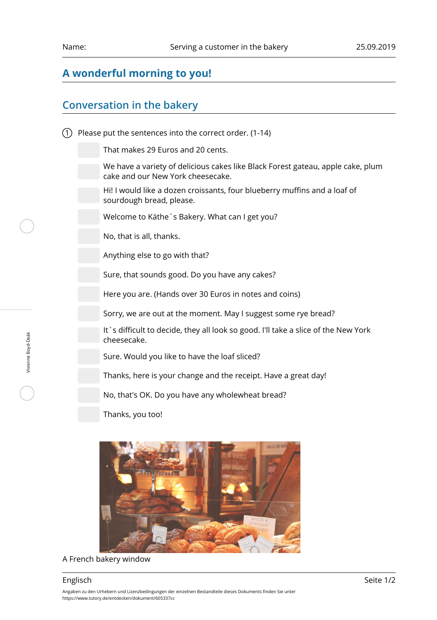## **A wonderful morning to you!**

## **Conversation in the bakery**

- (1) Please put the sentences into the correct order.  $(1-14)$ 
	- That makes 29 Euros and 20 cents.
	- We have a variety of delicious cakes like Black Forest gateau, apple cake, plum cake and our New York cheesecake.
	- Hi! I would like a dozen croissants, four blueberry muffins and a loaf of sourdough bread, please.
	- Welcome to Käthe`s Bakery. What can I get you?

No, that is all, thanks.

Anything else to go with that?

Sure, that sounds good. Do you have any cakes?

Here you are. (Hands over 30 Euros in notes and coins)

Sorry, we are out at the moment. May I suggest some rye bread?

It`s difficult to decide, they all look so good. I'll take a slice of the New York cheesecake.

Sure. Would you like to have the loaf sliced?

Thanks, here is your change and the receipt. Have a great day!

No, that's OK. Do you have any wholewheat bread?

Thanks, you too!



### A French bakery window

Angaben zu den Urhebern und Lizenzbedingungen der einzelnen Bestandteile dieses Dokuments finden Sie unter https://www.tutory.de/entdecken/dokument/605337cc